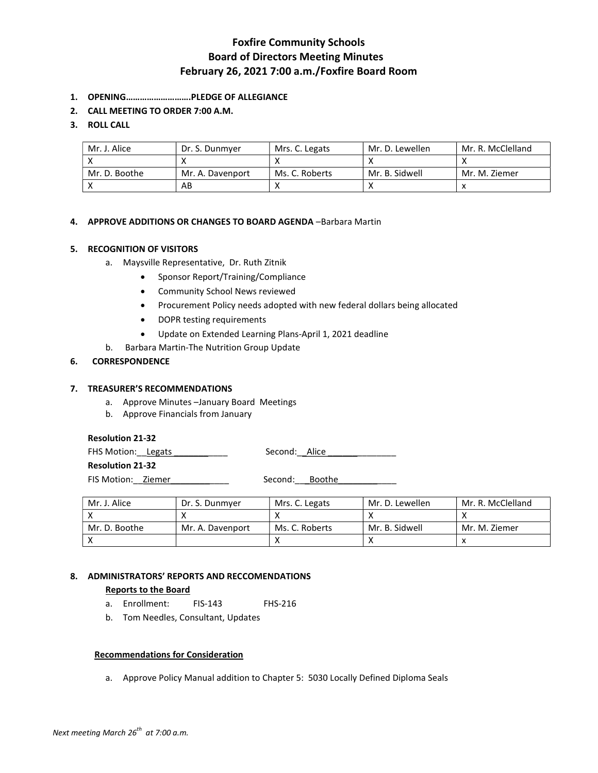# Foxfire Community Schools Board of Directors Meeting Minutes February 26, 2021 7:00 a.m./Foxfire Board Room

- 1. OPENING……………………….PLEDGE OF ALLEGIANCE
- 2. CALL MEETING TO ORDER 7:00 A.M.

### 3. ROLL CALL

| Mr. J. Alice  | Dr. S. Dunmver   | Mrs. C. Legats | Mr. D. Lewellen | Mr. R. McClelland |
|---------------|------------------|----------------|-----------------|-------------------|
|               |                  |                |                 |                   |
| Mr. D. Boothe | Mr. A. Davenport | Ms. C. Roberts | Mr. B. Sidwell  | Mr. M. Ziemer     |
|               | AB               |                |                 |                   |

### 4. APPROVE ADDITIONS OR CHANGES TO BOARD AGENDA –Barbara Martin

### 5. RECOGNITION OF VISITORS

- a. Maysville Representative, Dr. Ruth Zitnik
	- Sponsor Report/Training/Compliance
	- Community School News reviewed
	- Procurement Policy needs adopted with new federal dollars being allocated
	- DOPR testing requirements
	- Update on Extended Learning Plans-April 1, 2021 deadline
- b. Barbara Martin-The Nutrition Group Update

### 6. CORRESPONDENCE

#### 7. TREASURER'S RECOMMENDATIONS

- a. Approve Minutes –January Board Meetings
- b. Approve Financials from January

#### Resolution 21-32

FHS Motion: Legats \_\_\_\_\_\_\_\_\_\_\_\_ Second: Alice \_\_\_\_\_\_\_\_\_\_\_\_\_\_

Resolution 21-32

FIS Motion: Ziemer \_\_\_\_\_\_\_\_\_\_\_\_\_\_ Second: Boothe

| Mr. J. Alice  | Dr. S. Dunmver   | Mrs. C. Legats | Mr. D. Lewellen | Mr. R. McClelland |
|---------------|------------------|----------------|-----------------|-------------------|
|               |                  |                |                 |                   |
| Mr. D. Boothe | Mr. A. Davenport | Ms. C. Roberts | Mr. B. Sidwell  | Mr. M. Ziemer     |
|               |                  |                |                 |                   |

# 8. ADMINISTRATORS' REPORTS AND RECCOMENDATIONS

# Reports to the Board

- a. Enrollment: FIS-143 FHS-216
- b. Tom Needles, Consultant, Updates

## Recommendations for Consideration

a. Approve Policy Manual addition to Chapter 5: 5030 Locally Defined Diploma Seals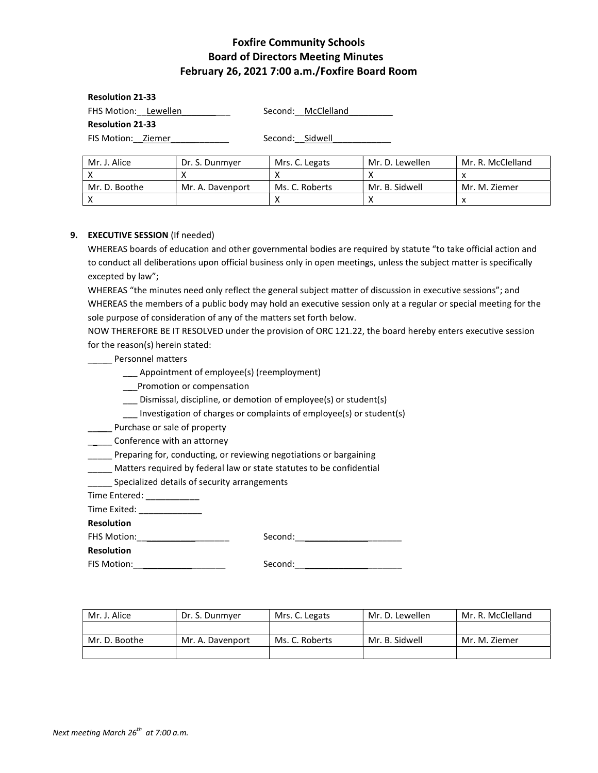# Foxfire Community Schools Board of Directors Meeting Minutes February 26, 2021 7:00 a.m./Foxfire Board Room

| <b>Resolution 21-33</b> |                    |  |  |  |  |
|-------------------------|--------------------|--|--|--|--|
| FHS Motion: Lewellen    | Second: McClelland |  |  |  |  |
| <b>Resolution 21-33</b> |                    |  |  |  |  |

FIS Motion: Ziemer \_\_\_\_\_\_\_\_\_\_ Second: Sidwell

| Mr. J. Alice  | Dr. S. Dunmyer   | Mrs. C. Legats | Mr. D. Lewellen | Mr. R. McClelland |
|---------------|------------------|----------------|-----------------|-------------------|
|               |                  |                |                 |                   |
| Mr. D. Boothe | Mr. A. Davenport | Ms. C. Roberts | Mr. B. Sidwell  | Mr. M. Ziemer     |
|               |                  |                |                 |                   |

## 9. EXECUTIVE SESSION (If needed)

WHEREAS boards of education and other governmental bodies are required by statute "to take official action and to conduct all deliberations upon official business only in open meetings, unless the subject matter is specifically excepted by law";

WHEREAS "the minutes need only reflect the general subject matter of discussion in executive sessions"; and WHEREAS the members of a public body may hold an executive session only at a regular or special meeting for the sole purpose of consideration of any of the matters set forth below.

NOW THEREFORE BE IT RESOLVED under the provision of ORC 121.22, the board hereby enters executive session for the reason(s) herein stated:

**\_\_\_\_\_** Personnel matters

\_\_\_ Appointment of employee(s) (reemployment)

\_\_\_Promotion or compensation

\_\_\_ Dismissal, discipline, or demotion of employee(s) or student(s)

\_\_\_ Investigation of charges or complaints of employee(s) or student(s)

\_\_\_\_\_ Purchase or sale of property

**\_\_\_\_\_** Conference with an attorney

\_\_\_\_\_ Preparing for, conducting, or reviewing negotiations or bargaining

\_\_\_\_\_ Matters required by federal law or state statutes to be confidential

\_\_\_\_\_ Specialized details of security arrangements

Time Entered: \_\_\_\_\_\_\_\_\_\_\_

Time Exited: \_\_\_\_\_\_\_\_\_\_\_\_\_\_\_\_

Resolution

FHS Motion:\_\_\_\_\_\_\_\_\_\_\_\_\_\_\_\_\_\_\_ Second:\_\_\_\_\_\_\_\_\_\_\_\_\_\_\_\_\_\_\_\_\_\_

Resolution

FIS Motion:\_\_\_\_\_\_\_\_\_\_\_\_\_\_\_\_\_\_\_ Second:\_\_\_\_\_\_\_\_\_\_\_\_\_\_\_\_\_\_\_\_\_\_

| Mr. J. Alice  | Dr. S. Dunmyer   | Mrs. C. Legats | Mr. D. Lewellen | 'Mr. R. McClelland |
|---------------|------------------|----------------|-----------------|--------------------|
|               |                  |                |                 |                    |
| Mr. D. Boothe | Mr. A. Davenport | Ms. C. Roberts | Mr. B. Sidwell  | Mr. M. Ziemer      |
|               |                  |                |                 |                    |